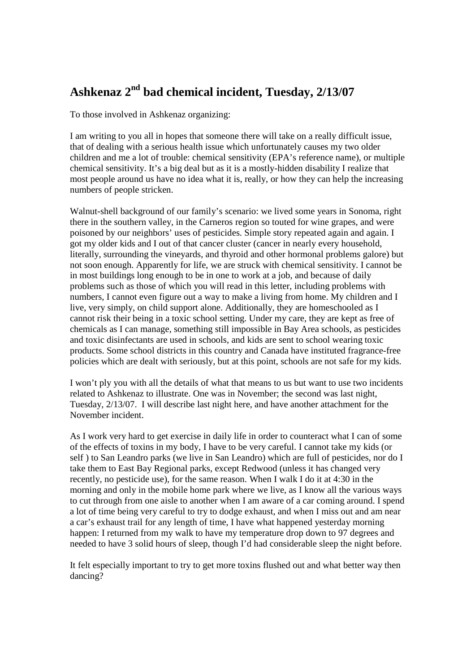## **Ashkenaz 2nd bad chemical incident, Tuesday, 2/13/07**

To those involved in Ashkenaz organizing:

I am writing to you all in hopes that someone there will take on a really difficult issue, that of dealing with a serious health issue which unfortunately causes my two older children and me a lot of trouble: chemical sensitivity (EPA's reference name), or multiple chemical sensitivity. It's a big deal but as it is a mostly-hidden disability I realize that most people around us have no idea what it is, really, or how they can help the increasing numbers of people stricken.

Walnut-shell background of our family's scenario: we lived some years in Sonoma, right there in the southern valley, in the Carneros region so touted for wine grapes, and were poisoned by our neighbors' uses of pesticides. Simple story repeated again and again. I got my older kids and I out of that cancer cluster (cancer in nearly every household, literally, surrounding the vineyards, and thyroid and other hormonal problems galore) but not soon enough. Apparently for life, we are struck with chemical sensitivity. I cannot be in most buildings long enough to be in one to work at a job, and because of daily problems such as those of which you will read in this letter, including problems with numbers, I cannot even figure out a way to make a living from home. My children and I live, very simply, on child support alone. Additionally, they are homeschooled as I cannot risk their being in a toxic school setting. Under my care, they are kept as free of chemicals as I can manage, something still impossible in Bay Area schools, as pesticides and toxic disinfectants are used in schools, and kids are sent to school wearing toxic products. Some school districts in this country and Canada have instituted fragrance-free policies which are dealt with seriously, but at this point, schools are not safe for my kids.

I won't ply you with all the details of what that means to us but want to use two incidents related to Ashkenaz to illustrate. One was in November; the second was last night, Tuesday, 2/13/07. I will describe last night here, and have another attachment for the November incident.

As I work very hard to get exercise in daily life in order to counteract what I can of some of the effects of toxins in my body, I have to be very careful. I cannot take my kids (or self ) to San Leandro parks (we live in San Leandro) which are full of pesticides, nor do I take them to East Bay Regional parks, except Redwood (unless it has changed very recently, no pesticide use), for the same reason. When I walk I do it at 4:30 in the morning and only in the mobile home park where we live, as I know all the various ways to cut through from one aisle to another when I am aware of a car coming around. I spend a lot of time being very careful to try to dodge exhaust, and when I miss out and am near a car's exhaust trail for any length of time, I have what happened yesterday morning happen: I returned from my walk to have my temperature drop down to 97 degrees and needed to have 3 solid hours of sleep, though I'd had considerable sleep the night before.

It felt especially important to try to get more toxins flushed out and what better way then dancing?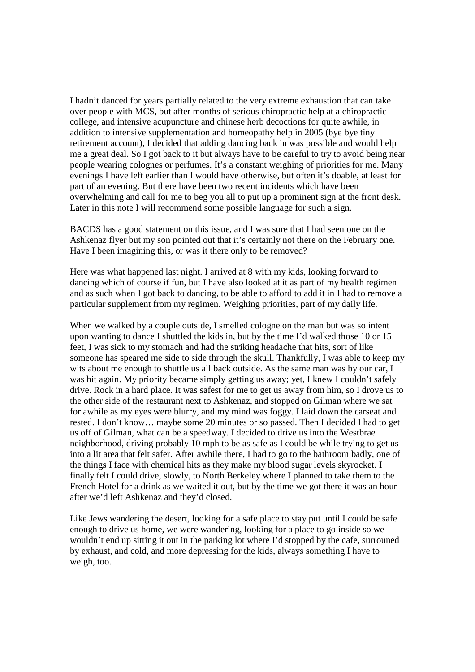I hadn't danced for years partially related to the very extreme exhaustion that can take over people with MCS, but after months of serious chiropractic help at a chiropractic college, and intensive acupuncture and chinese herb decoctions for quite awhile, in addition to intensive supplementation and homeopathy help in 2005 (bye bye tiny retirement account), I decided that adding dancing back in was possible and would help me a great deal. So I got back to it but always have to be careful to try to avoid being near people wearing colognes or perfumes. It's a constant weighing of priorities for me. Many evenings I have left earlier than I would have otherwise, but often it's doable, at least for part of an evening. But there have been two recent incidents which have been overwhelming and call for me to beg you all to put up a prominent sign at the front desk. Later in this note I will recommend some possible language for such a sign.

BACDS has a good statement on this issue, and I was sure that I had seen one on the Ashkenaz flyer but my son pointed out that it's certainly not there on the February one. Have I been imagining this, or was it there only to be removed?

Here was what happened last night. I arrived at 8 with my kids, looking forward to dancing which of course if fun, but I have also looked at it as part of my health regimen and as such when I got back to dancing, to be able to afford to add it in I had to remove a particular supplement from my regimen. Weighing priorities, part of my daily life.

When we walked by a couple outside, I smelled cologne on the man but was so intent upon wanting to dance I shuttled the kids in, but by the time I'd walked those 10 or 15 feet, I was sick to my stomach and had the striking headache that hits, sort of like someone has speared me side to side through the skull. Thankfully, I was able to keep my wits about me enough to shuttle us all back outside. As the same man was by our car, I was hit again. My priority became simply getting us away; yet, I knew I couldn't safely drive. Rock in a hard place. It was safest for me to get us away from him, so I drove us to the other side of the restaurant next to Ashkenaz, and stopped on Gilman where we sat for awhile as my eyes were blurry, and my mind was foggy. I laid down the carseat and rested. I don't know… maybe some 20 minutes or so passed. Then I decided I had to get us off of Gilman, what can be a speedway. I decided to drive us into the Westbrae neighborhood, driving probably 10 mph to be as safe as I could be while trying to get us into a lit area that felt safer. After awhile there, I had to go to the bathroom badly, one of the things I face with chemical hits as they make my blood sugar levels skyrocket. I finally felt I could drive, slowly, to North Berkeley where I planned to take them to the French Hotel for a drink as we waited it out, but by the time we got there it was an hour after we'd left Ashkenaz and they'd closed.

Like Jews wandering the desert, looking for a safe place to stay put until I could be safe enough to drive us home, we were wandering, looking for a place to go inside so we wouldn't end up sitting it out in the parking lot where I'd stopped by the cafe, surrouned by exhaust, and cold, and more depressing for the kids, always something I have to weigh, too.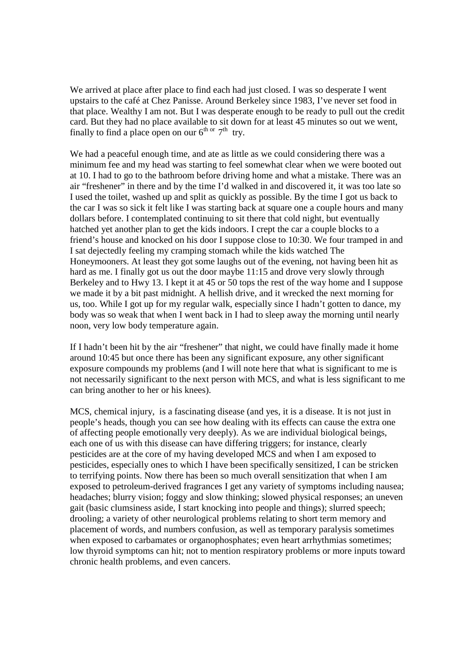We arrived at place after place to find each had just closed. I was so desperate I went upstairs to the café at Chez Panisse. Around Berkeley since 1983, I've never set food in that place. Wealthy I am not. But I was desperate enough to be ready to pull out the credit card. But they had no place available to sit down for at least 45 minutes so out we went, finally to find a place open on our  $6^{th}$  or  $7^{th}$  try.

We had a peaceful enough time, and ate as little as we could considering there was a minimum fee and my head was starting to feel somewhat clear when we were booted out at 10. I had to go to the bathroom before driving home and what a mistake. There was an air "freshener" in there and by the time I'd walked in and discovered it, it was too late so I used the toilet, washed up and split as quickly as possible. By the time I got us back to the car I was so sick it felt like I was starting back at square one a couple hours and many dollars before. I contemplated continuing to sit there that cold night, but eventually hatched yet another plan to get the kids indoors. I crept the car a couple blocks to a friend's house and knocked on his door I suppose close to 10:30. We four tramped in and I sat dejectedly feeling my cramping stomach while the kids watched The Honeymooners. At least they got some laughs out of the evening, not having been hit as hard as me. I finally got us out the door maybe 11:15 and drove very slowly through Berkeley and to Hwy 13. I kept it at 45 or 50 tops the rest of the way home and I suppose we made it by a bit past midnight. A hellish drive, and it wrecked the next morning for us, too. While I got up for my regular walk, especially since I hadn't gotten to dance, my body was so weak that when I went back in I had to sleep away the morning until nearly noon, very low body temperature again.

If I hadn't been hit by the air "freshener" that night, we could have finally made it home around 10:45 but once there has been any significant exposure, any other significant exposure compounds my problems (and I will note here that what is significant to me is not necessarily significant to the next person with MCS, and what is less significant to me can bring another to her or his knees).

MCS, chemical injury, is a fascinating disease (and yes, it is a disease. It is not just in people's heads, though you can see how dealing with its effects can cause the extra one of affecting people emotionally very deeply). As we are individual biological beings, each one of us with this disease can have differing triggers; for instance, clearly pesticides are at the core of my having developed MCS and when I am exposed to pesticides, especially ones to which I have been specifically sensitized, I can be stricken to terrifying points. Now there has been so much overall sensitization that when I am exposed to petroleum-derived fragrances I get any variety of symptoms including nausea; headaches; blurry vision; foggy and slow thinking; slowed physical responses; an uneven gait (basic clumsiness aside, I start knocking into people and things); slurred speech; drooling; a variety of other neurological problems relating to short term memory and placement of words, and numbers confusion, as well as temporary paralysis sometimes when exposed to carbamates or organophosphates; even heart arrhythmias sometimes; low thyroid symptoms can hit; not to mention respiratory problems or more inputs toward chronic health problems, and even cancers.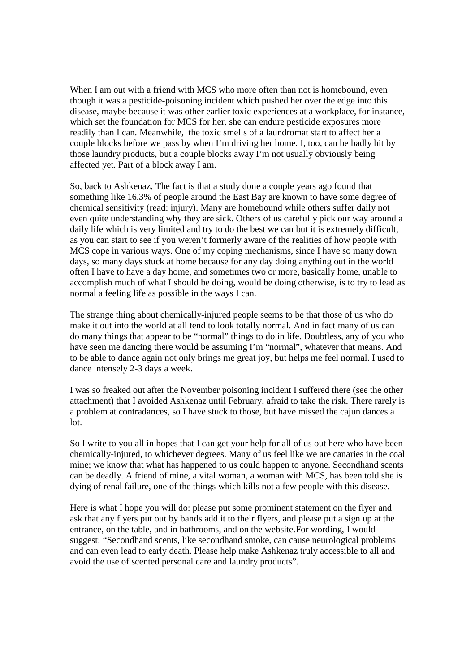When I am out with a friend with MCS who more often than not is homebound, even though it was a pesticide-poisoning incident which pushed her over the edge into this disease, maybe because it was other earlier toxic experiences at a workplace, for instance, which set the foundation for MCS for her, she can endure pesticide exposures more readily than I can. Meanwhile, the toxic smells of a laundromat start to affect her a couple blocks before we pass by when I'm driving her home. I, too, can be badly hit by those laundry products, but a couple blocks away I'm not usually obviously being affected yet. Part of a block away I am.

So, back to Ashkenaz. The fact is that a study done a couple years ago found that something like 16.3% of people around the East Bay are known to have some degree of chemical sensitivity (read: injury). Many are homebound while others suffer daily not even quite understanding why they are sick. Others of us carefully pick our way around a daily life which is very limited and try to do the best we can but it is extremely difficult, as you can start to see if you weren't formerly aware of the realities of how people with MCS cope in various ways. One of my coping mechanisms, since I have so many down days, so many days stuck at home because for any day doing anything out in the world often I have to have a day home, and sometimes two or more, basically home, unable to accomplish much of what I should be doing, would be doing otherwise, is to try to lead as normal a feeling life as possible in the ways I can.

The strange thing about chemically-injured people seems to be that those of us who do make it out into the world at all tend to look totally normal. And in fact many of us can do many things that appear to be "normal" things to do in life. Doubtless, any of you who have seen me dancing there would be assuming I'm "normal", whatever that means. And to be able to dance again not only brings me great joy, but helps me feel normal. I used to dance intensely 2-3 days a week.

I was so freaked out after the November poisoning incident I suffered there (see the other attachment) that I avoided Ashkenaz until February, afraid to take the risk. There rarely is a problem at contradances, so I have stuck to those, but have missed the cajun dances a lot.

So I write to you all in hopes that I can get your help for all of us out here who have been chemically-injured, to whichever degrees. Many of us feel like we are canaries in the coal mine; we know that what has happened to us could happen to anyone. Secondhand scents can be deadly. A friend of mine, a vital woman, a woman with MCS, has been told she is dying of renal failure, one of the things which kills not a few people with this disease.

Here is what I hope you will do: please put some prominent statement on the flyer and ask that any flyers put out by bands add it to their flyers, and please put a sign up at the entrance, on the table, and in bathrooms, and on the website.For wording, I would suggest: "Secondhand scents, like secondhand smoke, can cause neurological problems and can even lead to early death. Please help make Ashkenaz truly accessible to all and avoid the use of scented personal care and laundry products".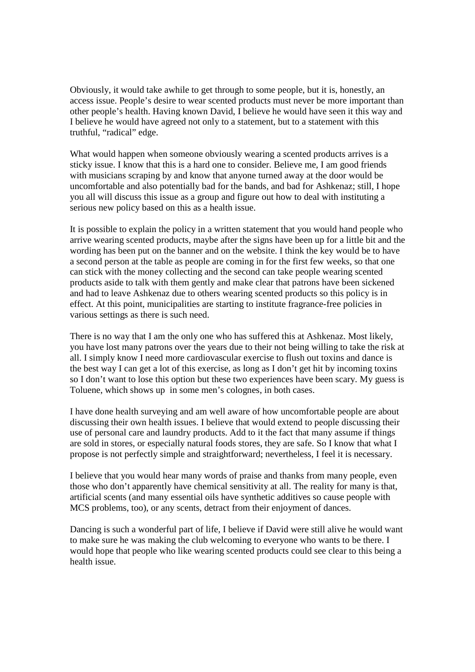Obviously, it would take awhile to get through to some people, but it is, honestly, an access issue. People's desire to wear scented products must never be more important than other people's health. Having known David, I believe he would have seen it this way and I believe he would have agreed not only to a statement, but to a statement with this truthful, "radical" edge.

What would happen when someone obviously wearing a scented products arrives is a sticky issue. I know that this is a hard one to consider. Believe me, I am good friends with musicians scraping by and know that anyone turned away at the door would be uncomfortable and also potentially bad for the bands, and bad for Ashkenaz; still, I hope you all will discuss this issue as a group and figure out how to deal with instituting a serious new policy based on this as a health issue.

It is possible to explain the policy in a written statement that you would hand people who arrive wearing scented products, maybe after the signs have been up for a little bit and the wording has been put on the banner and on the website. I think the key would be to have a second person at the table as people are coming in for the first few weeks, so that one can stick with the money collecting and the second can take people wearing scented products aside to talk with them gently and make clear that patrons have been sickened and had to leave Ashkenaz due to others wearing scented products so this policy is in effect. At this point, municipalities are starting to institute fragrance-free policies in various settings as there is such need.

There is no way that I am the only one who has suffered this at Ashkenaz. Most likely, you have lost many patrons over the years due to their not being willing to take the risk at all. I simply know I need more cardiovascular exercise to flush out toxins and dance is the best way I can get a lot of this exercise, as long as I don't get hit by incoming toxins so I don't want to lose this option but these two experiences have been scary. My guess is Toluene, which shows up in some men's colognes, in both cases.

I have done health surveying and am well aware of how uncomfortable people are about discussing their own health issues. I believe that would extend to people discussing their use of personal care and laundry products. Add to it the fact that many assume if things are sold in stores, or especially natural foods stores, they are safe. So I know that what I propose is not perfectly simple and straightforward; nevertheless, I feel it is necessary.

I believe that you would hear many words of praise and thanks from many people, even those who don't apparently have chemical sensitivity at all. The reality for many is that, artificial scents (and many essential oils have synthetic additives so cause people with MCS problems, too), or any scents, detract from their enjoyment of dances.

Dancing is such a wonderful part of life, I believe if David were still alive he would want to make sure he was making the club welcoming to everyone who wants to be there. I would hope that people who like wearing scented products could see clear to this being a health issue.